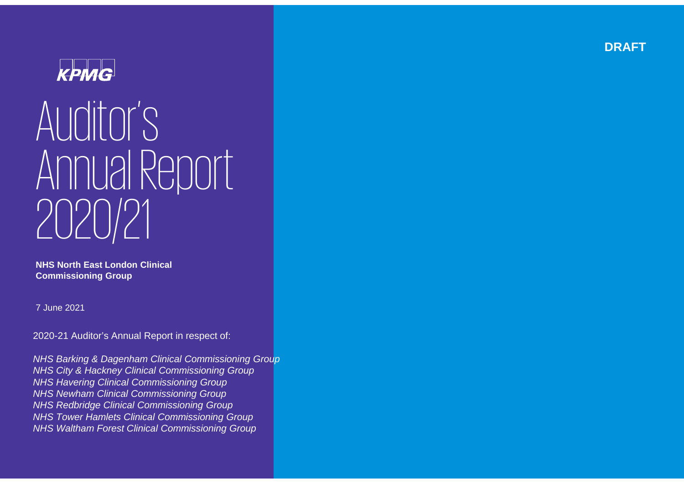

# Auditor's Annual Report 2020/21

**NHS North East London Clinical Commissioning Group** 

7 June 2021

2020-21 Auditor's Annual Report in respect of:

*NHS Barking & Dagenham Clinical Commissioning Group NHS City & Hackney Clinical Commissioning Group NHS Havering Clinical Commissioning Group NHS Newham Clinical Commissioning Group NHS Redbridge Clinical Commissioning Group NHS Tower Hamlets Clinical Commissioning Group NHS Waltham Forest Clinical Commissioning Group*

**DRAFT**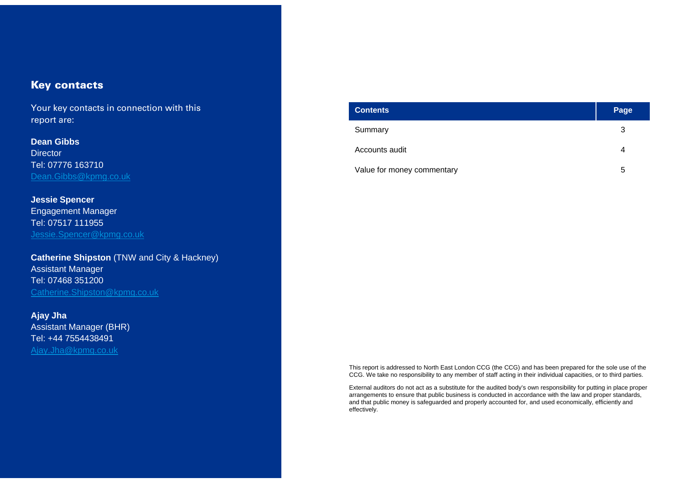#### Key contacts

Your key contacts in connection with this report are:

**Dean GibbsDirector** Tel: 07776 163710 Dean.Gibbs@kpmg.co.uk

**Jessie Spencer** Engagement Manager Tel: 07517 111955 Jessie.Spencer@kpmg.co.uk

**Catherine Shipston** (TNW and City & Hackney) Assistant Manager Tel: 07468 351200 Catherine.Shipston@kpmg.co.uk

**Ajay Jha** Assistant Manager (BHR) Tel: +44 7554438491 Ajay.Jha@kpmg.co.uk

| <b>Contents</b>            | Page |
|----------------------------|------|
| Summary                    | 3    |
| Accounts audit             | 4    |
| Value for money commentary | 5    |

This report is addressed to North East London CCG (the CCG) and has been prepared for the sole use of the CCG. We take no responsibility to any member of staff acting in their individual capacities, or to third parties.

External auditors do not act as a substitute for the audited body's own responsibility for putting in place proper arrangements to ensure that public business is conducted in accordance with the law and proper standards, and that public money is safeguarded and properly accounted for, and used economically, efficiently and effectively.

© 2021 KPMG LLP, a UK limited liability partnership and a member firm of the KPMG network of independent member firms affiliated with KPMG International Cooperative ("KPMG International"), a Swiss entity. All rights reserved.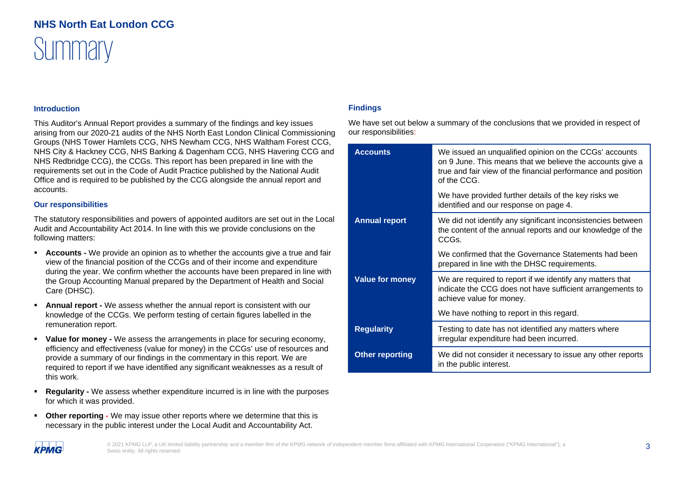### **Summary NHS North Eat London CCG**

#### **Introduction**

This Auditor's Annual Report provides a summary of the findings and key issues arising from our 2020-21 audits of the NHS North East London Clinical Commissioning Groups (NHS Tower Hamlets CCG, NHS Newham CCG, NHS Waltham Forest CCG, NHS City & Hackney CCG, NHS Barking & Dagenham CCG, NHS Havering CCG and NHS Redbridge CCG), the CCGs. This report has been prepared in line with the requirements set out in the Code of Audit Practice published by the National Audit Office and is required to be published by the CCG alongside the annual report and accounts.

#### **Our responsibilities**

The statutory responsibilities and powers of appointed auditors are set out in the Local Audit and Accountability Act 2014. In line with this we provide conclusions on the following matters:

- **Accounts -** We provide an opinion as to whether the accounts give a true and fair view of the financial position of the CCGs and of their income and expenditure during the year. We confirm whether the accounts have been prepared in line with the Group Accounting Manual prepared by the Department of Health and Social Care (DHSC).
- ٠ **Annual report -** We assess whether the annual report is consistent with our knowledge of the CCGs. We perform testing of certain figures labelled in the remuneration report.
- Е **Value for money -** We assess the arrangements in place for securing economy, efficiency and effectiveness (value for money) in the CCGs' use of resources and provide a summary of our findings in the commentary in this report. We are required to report if we have identified any significant weaknesses as a result of this work.
- $\blacksquare$  **Regularity -** We assess whether expenditure incurred is in line with the purposes for which it was provided.
- $\blacksquare$ **Other reporting -** We may issue other reports where we determine that this is necessary in the public interest under the Local Audit and Accountability Act.

#### **Findings**

We have set out below a summary of the conclusions that we provided in respect of our responsibilities:

| <b>Accounts</b>        | We issued an unqualified opinion on the CCGs' accounts<br>on 9 June. This means that we believe the accounts give a<br>true and fair view of the financial performance and position<br>of the CCG. |
|------------------------|----------------------------------------------------------------------------------------------------------------------------------------------------------------------------------------------------|
|                        | We have provided further details of the key risks we<br>identified and our response on page 4.                                                                                                     |
| <b>Annual report</b>   | We did not identify any significant inconsistencies between<br>the content of the annual reports and our knowledge of the<br>CCGs.                                                                 |
|                        | We confirmed that the Governance Statements had been<br>prepared in line with the DHSC requirements.                                                                                               |
| <b>Value for money</b> | We are required to report if we identify any matters that<br>indicate the CCG does not have sufficient arrangements to<br>achieve value for money.                                                 |
|                        | We have nothing to report in this regard.                                                                                                                                                          |
| <b>Regularity</b>      | Testing to date has not identified any matters where<br>irregular expenditure had been incurred.                                                                                                   |
| <b>Other reporting</b> | We did not consider it necessary to issue any other reports<br>in the public interest.                                                                                                             |

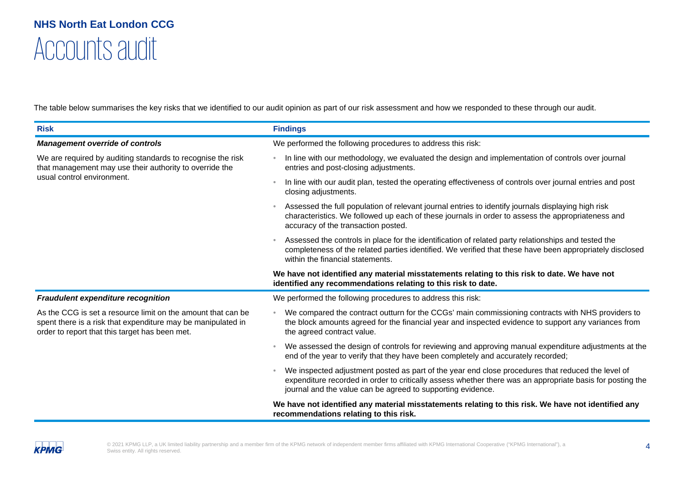### Accounts audit **NHS North Eat London CCG**

The table below summarises the key risks that we identified to our audit opinion as part of our risk assessment and how we responded to these through our audit.

| <b>Risk</b>                                                                                                                                                                    | <b>Findings</b>                                                                                                                                                                                                                                                               |
|--------------------------------------------------------------------------------------------------------------------------------------------------------------------------------|-------------------------------------------------------------------------------------------------------------------------------------------------------------------------------------------------------------------------------------------------------------------------------|
| <b>Management override of controls</b>                                                                                                                                         | We performed the following procedures to address this risk:                                                                                                                                                                                                                   |
| We are required by auditing standards to recognise the risk<br>that management may use their authority to override the                                                         | In line with our methodology, we evaluated the design and implementation of controls over journal<br>entries and post-closing adjustments.                                                                                                                                    |
| usual control environment.                                                                                                                                                     | In line with our audit plan, tested the operating effectiveness of controls over journal entries and post<br>closing adjustments.                                                                                                                                             |
|                                                                                                                                                                                | Assessed the full population of relevant journal entries to identify journals displaying high risk<br>characteristics. We followed up each of these journals in order to assess the appropriateness and<br>accuracy of the transaction posted.                                |
|                                                                                                                                                                                | Assessed the controls in place for the identification of related party relationships and tested the<br>completeness of the related parties identified. We verified that these have been appropriately disclosed<br>within the financial statements.                           |
|                                                                                                                                                                                | We have not identified any material misstatements relating to this risk to date. We have not<br>identified any recommendations relating to this risk to date.                                                                                                                 |
| <b>Fraudulent expenditure recognition</b>                                                                                                                                      | We performed the following procedures to address this risk:                                                                                                                                                                                                                   |
| As the CCG is set a resource limit on the amount that can be<br>spent there is a risk that expenditure may be manipulated in<br>order to report that this target has been met. | We compared the contract outturn for the CCGs' main commissioning contracts with NHS providers to<br>the block amounts agreed for the financial year and inspected evidence to support any variances from<br>the agreed contract value.                                       |
|                                                                                                                                                                                | We assessed the design of controls for reviewing and approving manual expenditure adjustments at the<br>$\bullet$<br>end of the year to verify that they have been completely and accurately recorded;                                                                        |
|                                                                                                                                                                                | We inspected adjustment posted as part of the year end close procedures that reduced the level of<br>expenditure recorded in order to critically assess whether there was an appropriate basis for posting the<br>journal and the value can be agreed to supporting evidence. |
|                                                                                                                                                                                | We have not identified any material misstatements relating to this risk. We have not identified any<br>recommendations relating to this risk.                                                                                                                                 |

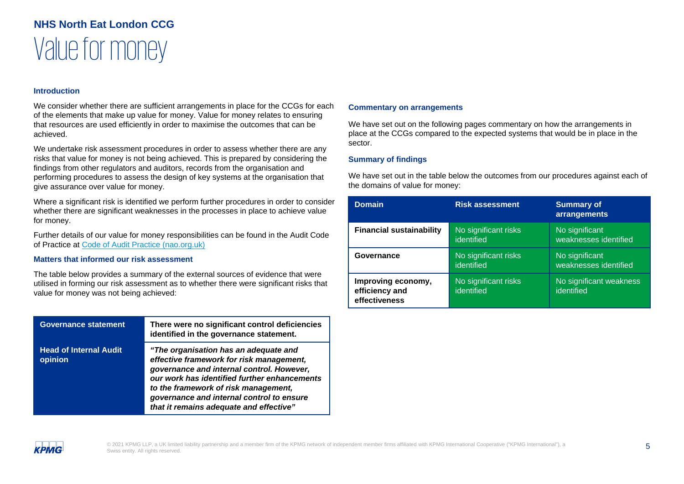#### **Introduction**

We consider whether there are sufficient arrangements in place for the CCGs for each of the elements that make up value for money. Value for money relates to ensuring that resources are used efficiently in order to maximise the outcomes that can be achieved.

We undertake risk assessment procedures in order to assess whether there are any risks that value for money is not being achieved. This is prepared by considering the findings from other regulators and auditors, records from the organisation and performing procedures to assess the design of key systems at the organisation that give assurance over value for money.

Where a significant risk is identified we perform further procedures in order to consider whether there are significant weaknesses in the processes in place to achieve value for money.

Further details of our value for money responsibilities can be found in the Audit Code of Practice at Code of Audit Practice (nao.org.uk)

#### **Matters that informed our risk assessment**

The table below provides a summary of the external sources of evidence that were utilised in forming our risk assessment as to whether there were significant risks that value for money was not being achieved:

| <b>Governance statement</b>              | There were no significant control deficiencies<br>identified in the governance statement.                                                                                                                                                                                                                      |
|------------------------------------------|----------------------------------------------------------------------------------------------------------------------------------------------------------------------------------------------------------------------------------------------------------------------------------------------------------------|
| <b>Head of Internal Audit</b><br>opinion | "The organisation has an adequate and<br>effective framework for risk management,<br>governance and internal control. However,<br>our work has identified further enhancements<br>to the framework of risk management,<br>governance and internal control to ensure<br>that it remains adequate and effective" |

#### **Commentary on arrangements**

We have set out on the following pages commentary on how the arrangements in place at the CCGs compared to the expected systems that would be in place in the sector.

#### **Summary of findings**

We have set out in the table below the outcomes from our procedures against each of the domains of value for money:

| <b>Domain</b>                                         | <b>Risk assessment</b>             | <b>Summary of</b><br>arrangements       |
|-------------------------------------------------------|------------------------------------|-----------------------------------------|
| <b>Financial sustainability</b>                       | No significant risks<br>identified | No significant<br>weaknesses identified |
| Governance                                            | No significant risks<br>identified | No significant<br>weaknesses identified |
| Improving economy,<br>efficiency and<br>effectiveness | No significant risks<br>identified | No significant weakness<br>identified   |

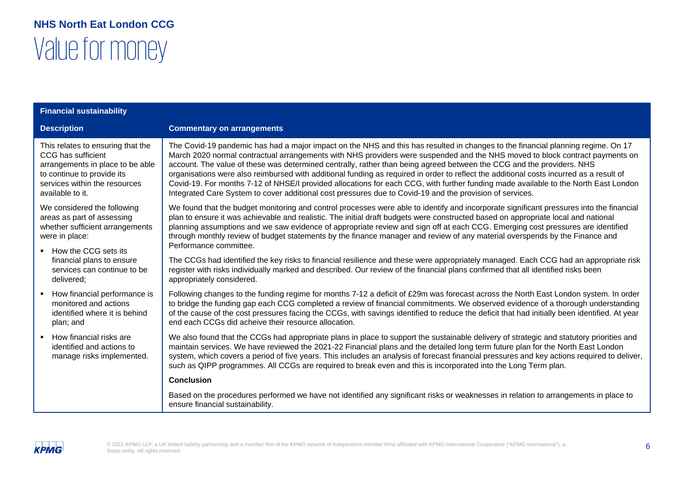| <b>Financial sustainability</b>                                                                                                                                                |                                                                                                                                                                                                                                                                                                                                                                                                                                                                                                                                                                                                                                                                                                                                                                                         |
|--------------------------------------------------------------------------------------------------------------------------------------------------------------------------------|-----------------------------------------------------------------------------------------------------------------------------------------------------------------------------------------------------------------------------------------------------------------------------------------------------------------------------------------------------------------------------------------------------------------------------------------------------------------------------------------------------------------------------------------------------------------------------------------------------------------------------------------------------------------------------------------------------------------------------------------------------------------------------------------|
| <b>Description</b>                                                                                                                                                             | <b>Commentary on arrangements</b>                                                                                                                                                                                                                                                                                                                                                                                                                                                                                                                                                                                                                                                                                                                                                       |
| This relates to ensuring that the<br>CCG has sufficient<br>arrangements in place to be able<br>to continue to provide its<br>services within the resources<br>available to it. | The Covid-19 pandemic has had a major impact on the NHS and this has resulted in changes to the financial planning regime. On 17<br>March 2020 normal contractual arrangements with NHS providers were suspended and the NHS moved to block contract payments on<br>account. The value of these was determined centrally, rather than being agreed between the CCG and the providers. NHS<br>organisations were also reimbursed with additional funding as required in order to reflect the additional costs incurred as a result of<br>Covid-19. For months 7-12 of NHSE/I provided allocations for each CCG, with further funding made available to the North East London<br>Integrated Care System to cover additional cost pressures due to Covid-19 and the provision of services. |
| We considered the following<br>areas as part of assessing<br>whether sufficient arrangements<br>were in place:<br>• How the CCG sets its<br>financial plans to ensure          | We found that the budget monitoring and control processes were able to identify and incorporate significant pressures into the financial<br>plan to ensure it was achievable and realistic. The initial draft budgets were constructed based on appropriate local and national<br>planning assumptions and we saw evidence of appropriate review and sign off at each CCG. Emerging cost pressures are identified<br>through monthly review of budget statements by the finance manager and review of any material overspends by the Finance and<br>Performance committee.<br>The CCGs had identified the key risks to financial resilience and these were appropriately managed. Each CCG had an appropriate risk                                                                      |
| services can continue to be<br>delivered;                                                                                                                                      | register with risks individually marked and described. Our review of the financial plans confirmed that all identified risks been<br>appropriately considered.                                                                                                                                                                                                                                                                                                                                                                                                                                                                                                                                                                                                                          |
| How financial performance is<br>monitored and actions<br>identified where it is behind<br>plan; and                                                                            | Following changes to the funding regime for months 7-12 a deficit of £29m was forecast across the North East London system. In order<br>to bridge the funding gap each CCG completed a review of financial commitments. We observed evidence of a thorough understanding<br>of the cause of the cost pressures facing the CCGs, with savings identified to reduce the deficit that had initially been identified. At year<br>end each CCGs did acheive their resource allocation.                                                                                                                                                                                                                                                                                                       |
| How financial risks are<br>identified and actions to<br>manage risks implemented.                                                                                              | We also found that the CCGs had appropriate plans in place to support the sustainable delivery of strategic and statutory priorities and<br>maintain services. We have reviewed the 2021-22 Financial plans and the detailed long term future plan for the North East London<br>system, which covers a period of five years. This includes an analysis of forecast financial pressures and key actions required to deliver,<br>such as QIPP programmes. All CCGs are required to break even and this is incorporated into the Long Term plan.                                                                                                                                                                                                                                           |
|                                                                                                                                                                                | <b>Conclusion</b>                                                                                                                                                                                                                                                                                                                                                                                                                                                                                                                                                                                                                                                                                                                                                                       |
|                                                                                                                                                                                | Based on the procedures performed we have not identified any significant risks or weaknesses in relation to arrangements in place to<br>ensure financial sustainability.                                                                                                                                                                                                                                                                                                                                                                                                                                                                                                                                                                                                                |

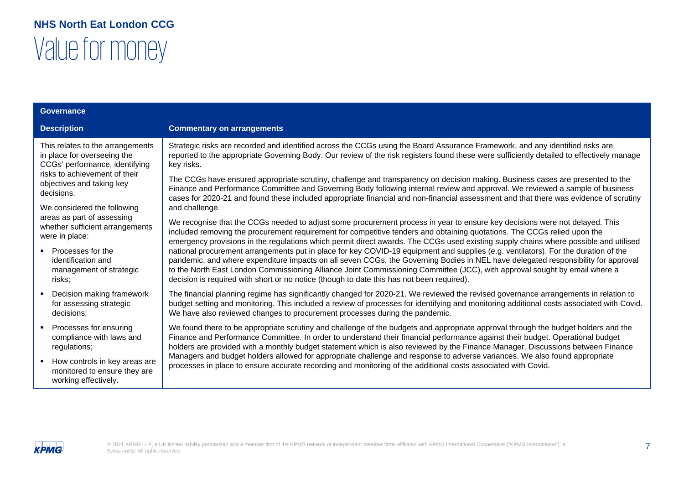| <b>Governance</b>                                                                                                        |                                                                                                                                                                                                                                                                                          |                                                                                                                                                                                                                                                                                                                                                                                                                                                                                                                                                                                                                                                                                              |
|--------------------------------------------------------------------------------------------------------------------------|------------------------------------------------------------------------------------------------------------------------------------------------------------------------------------------------------------------------------------------------------------------------------------------|----------------------------------------------------------------------------------------------------------------------------------------------------------------------------------------------------------------------------------------------------------------------------------------------------------------------------------------------------------------------------------------------------------------------------------------------------------------------------------------------------------------------------------------------------------------------------------------------------------------------------------------------------------------------------------------------|
| <b>Description</b>                                                                                                       |                                                                                                                                                                                                                                                                                          | <b>Commentary on arrangements</b>                                                                                                                                                                                                                                                                                                                                                                                                                                                                                                                                                                                                                                                            |
| This relates to the arrangements<br>in place for overseeing the<br>CCGs' performance, identifying                        | Strategic risks are recorded and identified across the CCGs using the Board Assurance Framework, and any identified risks are<br>reported to the appropriate Governing Body. Our review of the risk registers found these were sufficiently detailed to effectively manage<br>key risks. |                                                                                                                                                                                                                                                                                                                                                                                                                                                                                                                                                                                                                                                                                              |
| risks to achievement of their<br>objectives and taking key<br>decisions.                                                 |                                                                                                                                                                                                                                                                                          | The CCGs have ensured appropriate scrutiny, challenge and transparency on decision making. Business cases are presented to the<br>Finance and Performance Committee and Governing Body following internal review and approval. We reviewed a sample of business<br>cases for 2020-21 and found these included appropriate financial and non-financial assessment and that there was evidence of scrutiny                                                                                                                                                                                                                                                                                     |
| We considered the following<br>areas as part of assessing<br>were in place:<br>• Processes for the<br>identification and | whether sufficient arrangements                                                                                                                                                                                                                                                          | and challenge.<br>We recognise that the CCGs needed to adjust some procurement process in year to ensure key decisions were not delayed. This<br>included removing the procurement requirement for competitive tenders and obtaining quotations. The CCGs relied upon the<br>emergency provisions in the regulations which permit direct awards. The CCGs used existing supply chains where possible and utilised<br>national procurement arrangements put in place for key COVID-19 equipment and supplies (e.g. ventilators). For the duration of the<br>pandemic, and where expenditure impacts on all seven CCGs, the Governing Bodies in NEL have delegated responsibility for approval |
| risks;                                                                                                                   | management of strategic                                                                                                                                                                                                                                                                  | to the North East London Commissioning Alliance Joint Commissioning Committee (JCC), with approval sought by email where a<br>decision is required with short or no notice (though to date this has not been required).                                                                                                                                                                                                                                                                                                                                                                                                                                                                      |
| decisions;                                                                                                               | Decision making framework<br>for assessing strategic                                                                                                                                                                                                                                     | The financial planning regime has significantly changed for 2020-21. We reviewed the revised governance arrangements in relation to<br>budget setting and monitoring. This included a review of processes for identifying and monitoring additional costs associated with Covid.<br>We have also reviewed changes to procurement processes during the pandemic.                                                                                                                                                                                                                                                                                                                              |
| regulations;                                                                                                             | Processes for ensuring<br>compliance with laws and                                                                                                                                                                                                                                       | We found there to be appropriate scrutiny and challenge of the budgets and appropriate approval through the budget holders and the<br>Finance and Performance Committee. In order to understand their financial performance against their budget. Operational budget<br>holders are provided with a monthly budget statement which is also reviewed by the Finance Manager. Discussions between Finance                                                                                                                                                                                                                                                                                      |
| $\blacksquare$<br>working effectively.                                                                                   | How controls in key areas are<br>monitored to ensure they are                                                                                                                                                                                                                            | Managers and budget holders allowed for appropriate challenge and response to adverse variances. We also found appropriate<br>processes in place to ensure accurate recording and monitoring of the additional costs associated with Covid.                                                                                                                                                                                                                                                                                                                                                                                                                                                  |

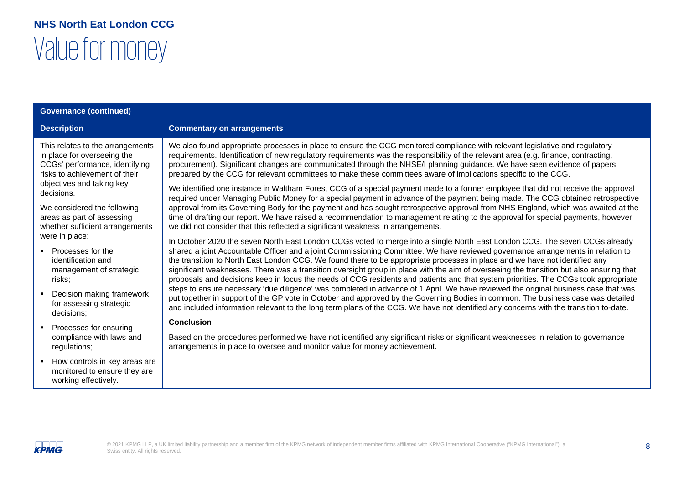| <b>Governance (continued)</b>                                                                                                                                                                                                                                                                                                                                                                                                                                                                                                                                |                                                                                                                                                                                                                                                                                                                                                                                                                                                                                                                                                                                                                                                                                                                                                                                                                                                                                                                                                                                                                                                                                                                                                                                                                                                                                                                                                                                                                                                                                                                                                                                                                                                                                                                                                                                                                                                                                                                                                                                                                                                                                                                                                                                                                                                                                                                                                                                                                                                                                                         |
|--------------------------------------------------------------------------------------------------------------------------------------------------------------------------------------------------------------------------------------------------------------------------------------------------------------------------------------------------------------------------------------------------------------------------------------------------------------------------------------------------------------------------------------------------------------|---------------------------------------------------------------------------------------------------------------------------------------------------------------------------------------------------------------------------------------------------------------------------------------------------------------------------------------------------------------------------------------------------------------------------------------------------------------------------------------------------------------------------------------------------------------------------------------------------------------------------------------------------------------------------------------------------------------------------------------------------------------------------------------------------------------------------------------------------------------------------------------------------------------------------------------------------------------------------------------------------------------------------------------------------------------------------------------------------------------------------------------------------------------------------------------------------------------------------------------------------------------------------------------------------------------------------------------------------------------------------------------------------------------------------------------------------------------------------------------------------------------------------------------------------------------------------------------------------------------------------------------------------------------------------------------------------------------------------------------------------------------------------------------------------------------------------------------------------------------------------------------------------------------------------------------------------------------------------------------------------------------------------------------------------------------------------------------------------------------------------------------------------------------------------------------------------------------------------------------------------------------------------------------------------------------------------------------------------------------------------------------------------------------------------------------------------------------------------------------------------------|
| <b>Description</b>                                                                                                                                                                                                                                                                                                                                                                                                                                                                                                                                           | <b>Commentary on arrangements</b>                                                                                                                                                                                                                                                                                                                                                                                                                                                                                                                                                                                                                                                                                                                                                                                                                                                                                                                                                                                                                                                                                                                                                                                                                                                                                                                                                                                                                                                                                                                                                                                                                                                                                                                                                                                                                                                                                                                                                                                                                                                                                                                                                                                                                                                                                                                                                                                                                                                                       |
| This relates to the arrangements<br>in place for overseeing the<br>CCGs' performance, identifying<br>risks to achievement of their<br>objectives and taking key<br>decisions.<br>We considered the following<br>areas as part of assessing<br>whether sufficient arrangements<br>were in place:<br>Processes for the<br>identification and<br>management of strategic<br>risks;<br>Decision making framework<br>for assessing strategic<br>decisions;<br>Processes for ensuring<br>compliance with laws and<br>regulations;<br>How controls in key areas are | We also found appropriate processes in place to ensure the CCG monitored compliance with relevant legislative and regulatory<br>requirements. Identification of new regulatory requirements was the responsibility of the relevant area (e.g. finance, contracting,<br>procurement). Significant changes are communicated through the NHSE/I planning guidance. We have seen evidence of papers<br>prepared by the CCG for relevant committees to make these committees aware of implications specific to the CCG.<br>We identified one instance in Waltham Forest CCG of a special payment made to a former employee that did not receive the approval<br>required under Managing Public Money for a special payment in advance of the payment being made. The CCG obtained retrospective<br>approval from its Governing Body for the payment and has sought retrospective approval from NHS England, which was awaited at the<br>time of drafting our report. We have raised a recommendation to management relating to the approval for special payments, however<br>we did not consider that this reflected a significant weakness in arrangements.<br>In October 2020 the seven North East London CCGs voted to merge into a single North East London CCG. The seven CCGs already<br>shared a joint Accountable Officer and a joint Commissioning Committee. We have reviewed governance arrangements in relation to<br>the transition to North East London CCG. We found there to be appropriate processes in place and we have not identified any<br>significant weaknesses. There was a transition oversight group in place with the aim of overseeing the transition but also ensuring that<br>proposals and decisions keep in focus the needs of CCG residents and patients and that system priorities. The CCGs took appropriate<br>steps to ensure necessary 'due diligence' was completed in advance of 1 April. We have reviewed the original business case that was<br>put together in support of the GP vote in October and approved by the Governing Bodies in common. The business case was detailed<br>and included information relevant to the long term plans of the CCG. We have not identified any concerns with the transition to-date.<br><b>Conclusion</b><br>Based on the procedures performed we have not identified any significant risks or significant weaknesses in relation to governance<br>arrangements in place to oversee and monitor value for money achievement. |
| monitored to ensure they are<br>working effectively.                                                                                                                                                                                                                                                                                                                                                                                                                                                                                                         |                                                                                                                                                                                                                                                                                                                                                                                                                                                                                                                                                                                                                                                                                                                                                                                                                                                                                                                                                                                                                                                                                                                                                                                                                                                                                                                                                                                                                                                                                                                                                                                                                                                                                                                                                                                                                                                                                                                                                                                                                                                                                                                                                                                                                                                                                                                                                                                                                                                                                                         |

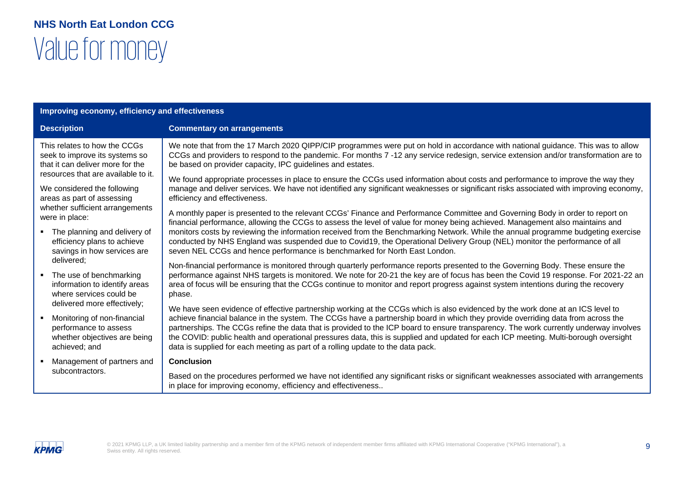| Improving economy, efficiency and effectiveness                                                                                                   |                                                                                                                                                                                                                                                                                                                                                                                                                                                                                                                                                                                                                                       |
|---------------------------------------------------------------------------------------------------------------------------------------------------|---------------------------------------------------------------------------------------------------------------------------------------------------------------------------------------------------------------------------------------------------------------------------------------------------------------------------------------------------------------------------------------------------------------------------------------------------------------------------------------------------------------------------------------------------------------------------------------------------------------------------------------|
| <b>Description</b>                                                                                                                                | <b>Commentary on arrangements</b>                                                                                                                                                                                                                                                                                                                                                                                                                                                                                                                                                                                                     |
| This relates to how the CCGs<br>seek to improve its systems so<br>that it can deliver more for the                                                | We note that from the 17 March 2020 QIPP/CIP programmes were put on hold in accordance with national guidance. This was to allow<br>CCGs and providers to respond to the pandemic. For months 7 -12 any service redesign, service extension and/or transformation are to<br>be based on provider capacity, IPC guidelines and estates.                                                                                                                                                                                                                                                                                                |
| resources that are available to it.<br>We considered the following<br>areas as part of assessing                                                  | We found appropriate processes in place to ensure the CCGs used information about costs and performance to improve the way they<br>manage and deliver services. We have not identified any significant weaknesses or significant risks associated with improving economy,<br>efficiency and effectiveness.                                                                                                                                                                                                                                                                                                                            |
| whether sufficient arrangements<br>were in place:<br>• The planning and delivery of<br>efficiency plans to achieve<br>savings in how services are | A monthly paper is presented to the relevant CCGs' Finance and Performance Committee and Governing Body in order to report on<br>financial performance, allowing the CCGs to assess the level of value for money being achieved. Management also maintains and<br>monitors costs by reviewing the information received from the Benchmarking Network. While the annual programme budgeting exercise<br>conducted by NHS England was suspended due to Covid19, the Operational Delivery Group (NEL) monitor the performance of all<br>seven NEL CCGs and hence performance is benchmarked for North East London.                       |
| delivered;<br>• The use of benchmarking<br>information to identify areas<br>where services could be<br>delivered more effectively;                | Non-financial performance is monitored through quarterly performance reports presented to the Governing Body. These ensure the<br>performance against NHS targets is monitored. We note for 20-21 the key are of focus has been the Covid 19 response. For 2021-22 an<br>area of focus will be ensuring that the CCGs continue to monitor and report progress against system intentions during the recovery<br>phase.                                                                                                                                                                                                                 |
| Monitoring of non-financial<br>performance to assess<br>whether objectives are being<br>achieved; and                                             | We have seen evidence of effective partnership working at the CCGs which is also evidenced by the work done at an ICS level to<br>achieve financial balance in the system. The CCGs have a partnership board in which they provide overriding data from across the<br>partnerships. The CCGs refine the data that is provided to the ICP board to ensure transparency. The work currently underway involves<br>the COVID: public health and operational pressures data, this is supplied and updated for each ICP meeting. Multi-borough oversight<br>data is supplied for each meeting as part of a rolling update to the data pack. |
| Management of partners and<br>subcontractors.                                                                                                     | <b>Conclusion</b>                                                                                                                                                                                                                                                                                                                                                                                                                                                                                                                                                                                                                     |
|                                                                                                                                                   | Based on the procedures performed we have not identified any significant risks or significant weaknesses associated with arrangements<br>in place for improving economy, efficiency and effectiveness                                                                                                                                                                                                                                                                                                                                                                                                                                 |